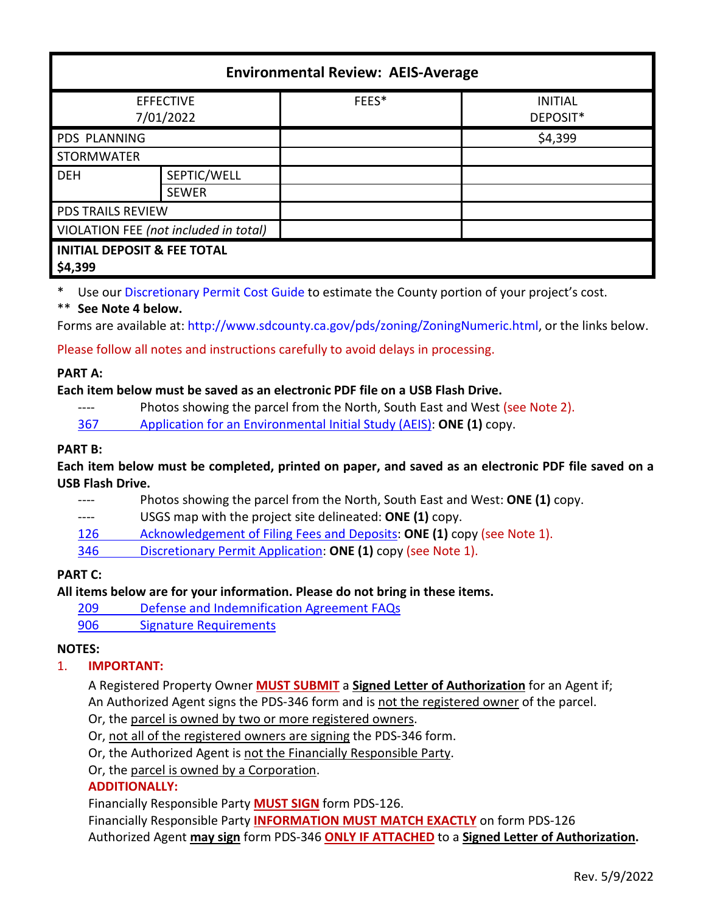| <b>Environmental Review: AEIS-Average</b>         |              |       |                            |
|---------------------------------------------------|--------------|-------|----------------------------|
| <b>EFFECTIVE</b><br>7/01/2022                     |              | FEES* | <b>INITIAL</b><br>DEPOSIT* |
| <b>PDS PLANNING</b>                               |              |       | \$4,399                    |
| <b>STORMWATER</b>                                 |              |       |                            |
| <b>DEH</b>                                        | SEPTIC/WELL  |       |                            |
|                                                   | <b>SEWER</b> |       |                            |
| <b>PDS TRAILS REVIEW</b>                          |              |       |                            |
| VIOLATION FEE (not included in total)             |              |       |                            |
| <b>INITIAL DEPOSIT &amp; FEE TOTAL</b><br>\$4,399 |              |       |                            |

\* Use our [Discretionary Permit Cost Guide](http://www.sandiegocounty.gov/content/dam/sdc/pds/docs/Discretionary_Permit_Cost_Guide.xlsx) to estimate the County portion of your project's cost.

## \*\* **See Note 4 below.**

Forms are available at[: http://www.sdcounty.ca.gov/pds/zoning/ZoningNumeric.html,](http://www.sdcounty.ca.gov/pds/zoning/ZoningNumeric.html) or the links below.

Please follow all notes and instructions carefully to avoid delays in processing.

## **PART A:**

## **Each item below must be saved as an electronic PDF file on a USB Flash Drive.**

---- Photos showing the parcel from the North, South East and West (see Note 2).

367 [Application for an Environmental Initial Study \(AEIS\):](http://www.sdcounty.ca.gov/pds/zoning/formfields/PDS-PLN-367.pdf) **ONE (1)** copy.

#### **PART B:**

**Each item below must be completed, printed on paper, and saved as an electronic PDF file saved on a USB Flash Drive.**

- ---- Photos showing the parcel from the North, South East and West: **ONE (1)** copy.
- ---- USGS map with the project site delineated: **ONE (1)** copy.
- [126 Acknowledgement of Filing Fees and Deposits:](http://www.sdcounty.ca.gov/pds/zoning/formfields/PDS-PLN-126.pdf) **ONE (1)** copy (see Note 1).
- 346 [Discretionary Permit Application:](http://www.sdcounty.ca.gov/pds/zoning/formfields/PDS-PLN-346.pdf) **ONE (1)** copy (see Note 1).

## **PART C:**

**All items below are for your information. Please do not bring in these items.**

- 209 [Defense and Indemnification Agreement FAQs](http://www.sdcounty.ca.gov/pds/zoning/formfields/PDS-PLN-209.pdf)
- [906 Signature Requirements](http://www.sdcounty.ca.gov/pds/zoning/formfields/PDS-PLN-906.pdf)

## **NOTES:**

## 1. **IMPORTANT:**

A Registered Property Owner **MUST SUBMIT** a **Signed Letter of Authorization** for an Agent if; An Authorized Agent signs the PDS-346 form and is not the registered owner of the parcel.

Or, the parcel is owned by two or more registered owners.

Or, not all of the registered owners are signing the PDS-346 form.

Or, the Authorized Agent is not the Financially Responsible Party.

Or, the parcel is owned by a Corporation.

# **ADDITIONALLY:**

Financially Responsible Party **MUST SIGN** form PDS-126.

Financially Responsible Party **INFORMATION MUST MATCH EXACTLY** on form PDS-126 Authorized Agent **may sign** form PDS-346 **ONLY IF ATTACHED** to a **Signed Letter of Authorization.**